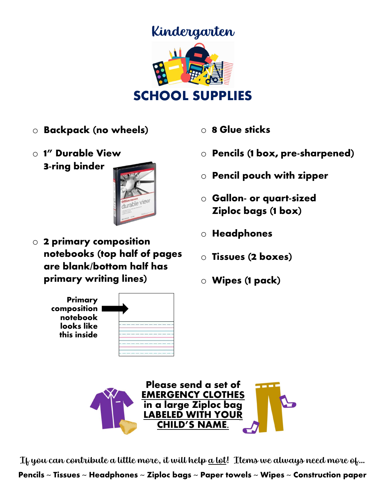

- o Backpack (no wheels)
- o 1" Durable View 3-ring binder



**z primary composition**<br>notebooks (top half of pages are blank/bottom half has primary writing lines) o 2 primary composition



- o 8 Glue sticks
- $\circ$  Pencils (1 box, pre-sharpened)
- $\circ$  Pencil pouch with zipper
- $\circ$  Gallon- or quart-sized Ziploc bags (1 box)
- o Headphones
- $\overline{\phantom{a}}$ Ξ o Tissues (2 boxes)
- o Wipes (1 pack)



 $\frac{1}{2}$  and  $\frac{1}{2}$  and  $\frac{1}{2}$  and  $\frac{1}{2}$  and  $\frac{1}{2}$  and  $\frac{1}{2}$  and  $\frac{1}{2}$  and  $\frac{1}{2}$  and  $\frac{1}{2}$  and  $\frac{1}{2}$  and  $\frac{1}{2}$  and  $\frac{1}{2}$  and  $\frac{1}{2}$  and  $\frac{1}{2}$  and  $\frac{1}{2}$  and  $\frac{1}{2}$  a If you can contribute a little more, it will help <u>a lot</u>! Items we always need more of…

Pencils ~ Tissues ~ Headphones ~ Ziploc bags ~ Paper towels ~ Wipes ~ Construction paper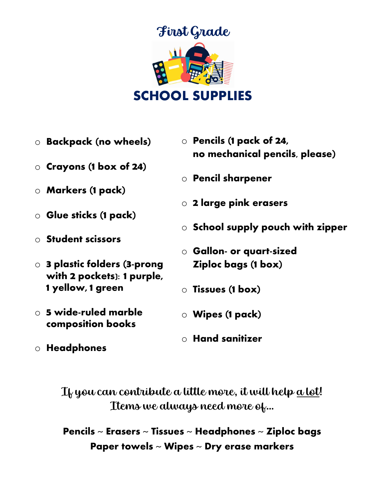

- o Backpack (no wheels)
- o Crayons (1 box of 24)
- o Markers (1 pack)
- o Glue sticks (1 pack)
- o Student scissors
- o 3 plastic folders (3-prong with 2 pockets): 1 purple, 1 yellow, 1 green
- $\circ$  5 wide-ruled marble composition books
- o Headphones
- o Pencils (1 pack of 24, no mechanical pencils, please)
- o Pencil sharpener
- o 2 large pink erasers
- o School supply pouch with zipper
- o Gallon- or quart-sized Ziploc bags (1 box)
- o Tissues (1 box)
- o Wipes (1 pack)
- $\circ$  Hand sanitizer

If you can contribute a little more, it will help <u>a lot</u>! Items we always need more of…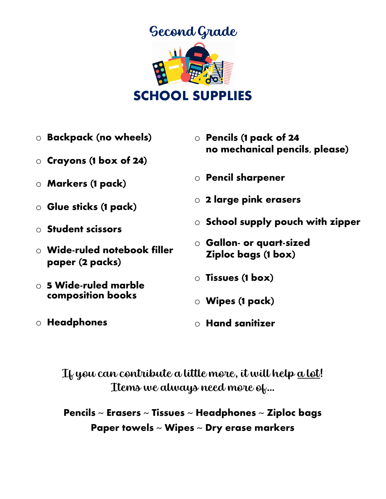

- o Backpack (no wheels)
- o Crayons (1 box of 24)
- o Markers (1 pack)
- o Glue sticks (1 pack)
- o Student scissors
- $\circ$  Wide-ruled notebook filler paper (2 packs)
- $\circ$  5 Wide-ruled marble composition books
- o Headphones
- o Pencils (1 pack of 24 no mechanical pencils, please)
- o Pencil sharpener
- o 2 large pink erasers
- o School supply pouch with zipper
- o Gallon- or quart-sized Ziploc bags (1 box)
- o Tissues (1 box)
- o Wipes (1 pack)
- $\circ$  Hand sanitizer

If you can contribute a little more, it will help a lot! Items we always need more of…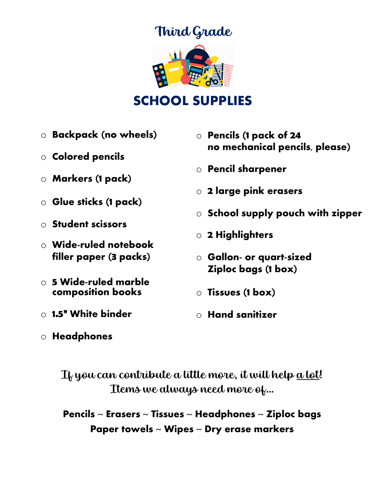# Third Grade



#### SCHOOL SUPPLIES

- o Backpack (no wheels)
- o Colored pencils
- o Markers (1 pack)
- o Glue sticks (1 pack)
- o Student scissors
- o Wide-ruled notebook filler paper (3 packs)
- $\circ$  5 Wide-ruled marble composition books
- o 1.5" White binder
- o Pencils (1 pack of 24 no mechanical pencils, please) o Pencil sharpener
- o 2 large pink erasers
- o School supply pouch with zipper
- o 2 Highlighters
- o Gallon- or quart-sized Ziploc bags (1 box)
- o Tissues (1 box)
- $\circ$  Hand sanitizer

o Headphones

If you can contribute a little more, it will help <u>a lot</u>! Items we always need more of…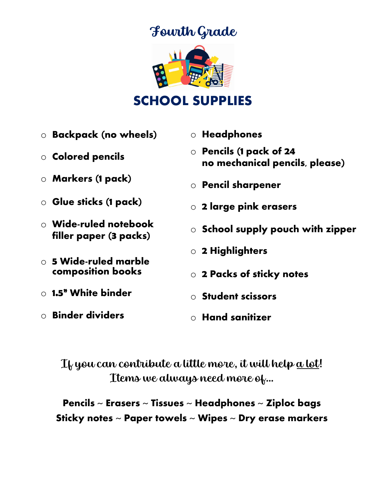# Fourth Grade



## SCHOOL SUPPLIES

- o Backpack (no wheels)
- o Colored pencils
- o Markers (1 pack)
- o Glue sticks (1 pack)
- $\circ$  Wide-ruled notebook filler paper (3 packs)
- $\circ$  5 Wide-ruled marble composition books
- $\circ$  1.5" White binder
- o Binder dividers
- o Headphones
- o Pencils (1 pack of 24 no mechanical pencils, please)
- o Pencil sharpener
- o 2 large pink erasers
- o School supply pouch with zipper
- o 2 Highlighters
- o 2 Packs of sticky notes
- o Student scissors
- $\circ$  Hand sanitizer

If you can contribute a little more, it will help <u>a lot</u>! Items we always need more of…

Pencils  $\sim$  Erasers  $\sim$  Tissues  $\sim$  Headphones  $\sim$  Ziploc bags Sticky notes ~ Paper towels ~ Wipes ~ Dry erase markers